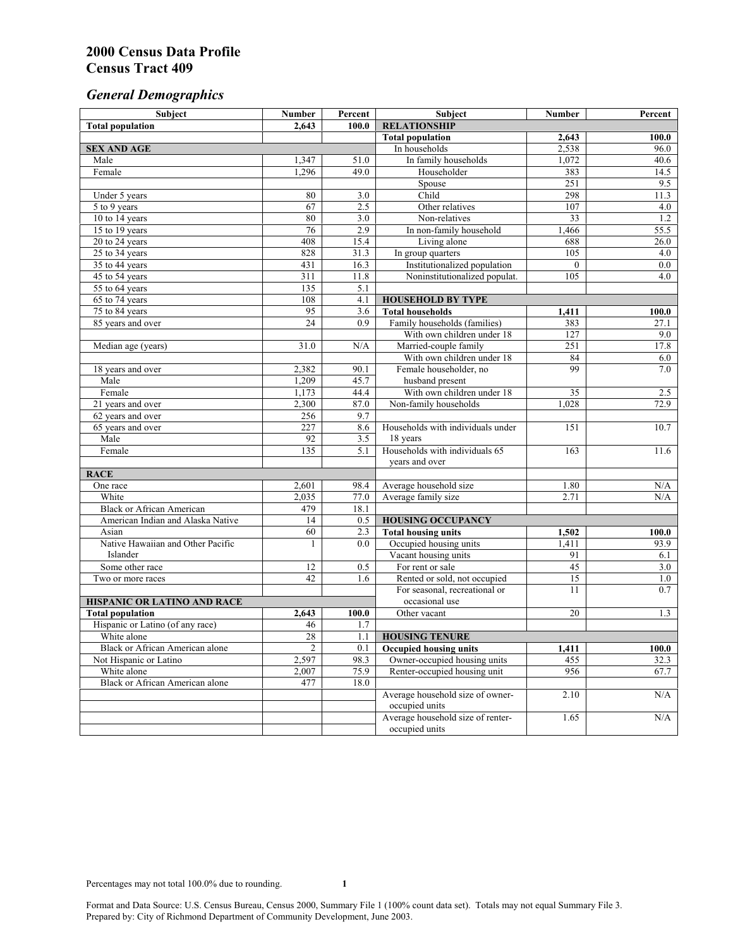# *General Demographics*

| Subject                                | <b>Number</b>   | Percent      | Subject                                                       | Number                           | Percent    |
|----------------------------------------|-----------------|--------------|---------------------------------------------------------------|----------------------------------|------------|
| <b>Total population</b>                | 2,643           | 100.0        | <b>RELATIONSHIP</b>                                           |                                  |            |
|                                        |                 |              | <b>Total population</b>                                       | 2,643                            | 100.0      |
| <b>SEX AND AGE</b>                     |                 |              | In households                                                 | 2,538                            | 96.0       |
| Male                                   | 1,347           | 51.0         | In family households                                          | 1,072                            | 40.6       |
| Female                                 | 1,296           | 49.0         | Householder                                                   | 383                              | 14.5       |
|                                        |                 |              | Spouse                                                        | 251                              | 9.5        |
| Under 5 years                          | 80              | 3.0          | Child                                                         | 298                              | 11.3       |
| 5 to 9 years                           | 67              | 2.5          | Other relatives                                               | 107                              | 4.0        |
| 10 to 14 years                         | 80              | 3.0          | Non-relatives                                                 | 33                               | 1.2        |
| 15 to 19 years                         | 76              | 2.9          | In non-family household                                       | 1,466                            | 55.5       |
| 20 to 24 years                         | 408             | 15.4         | Living alone                                                  | 688                              | 26.0       |
| 25 to 34 years                         | 828             | 31.3         | In group quarters                                             | 105                              | 4.0        |
| 35 to 44 years                         | 431<br>311      | 16.3<br>11.8 | Institutionalized population<br>Noninstitutionalized populat. | $\mathbf{0}$<br>$\overline{105}$ | 0.0<br>4.0 |
| 45 to 54 years<br>55 to 64 years       | 135             | 5.1          |                                                               |                                  |            |
| 65 to 74 years                         | 108             | 4.1          |                                                               |                                  |            |
| 75 to 84 years                         | 95              | 3.6          | <b>HOUSEHOLD BY TYPE</b><br><b>Total households</b>           | 1,411                            | 100.0      |
| 85 years and over                      | $\overline{24}$ | 0.9          | Family households (families)                                  | 383                              | 27.1       |
|                                        |                 |              | With own children under 18                                    | 127                              | 9.0        |
| Median age (years)                     | 31.0            | N/A          | Married-couple family                                         | 251                              | 17.8       |
|                                        |                 |              | With own children under 18                                    | 84                               | 6.0        |
| 18 years and over                      | 2,382           | 90.1         | Female householder, no                                        | 99                               | 7.0        |
| Male                                   | 1,209           | 45.7         | husband present                                               |                                  |            |
| Female                                 | 1,173           | 44.4         | With own children under 18                                    | 35                               | 2.5        |
| 21 years and over                      | 2,300           | 87.0         | Non-family households                                         | 1,028                            | 72.9       |
| 62 years and over                      | 256             | 9.7          |                                                               |                                  |            |
| 65 years and over                      | 227             | 8.6          | Households with individuals under                             | 151                              | 10.7       |
| Male                                   | 92              | 3.5          | 18 years                                                      |                                  |            |
| Female                                 | 135             | 5.1          | Households with individuals 65                                | 163                              | 11.6       |
|                                        |                 |              | years and over                                                |                                  |            |
| <b>RACE</b>                            |                 |              |                                                               |                                  |            |
| One race                               | 2,601           | 98.4         | Average household size                                        | 1.80                             | N/A        |
| White                                  | 2,035           | 77.0         | Average family size                                           | 2.71                             | N/A        |
| <b>Black or African American</b>       | 479             | 18.1         |                                                               |                                  |            |
| American Indian and Alaska Native      | 14              | 0.5          | <b>HOUSING OCCUPANCY</b>                                      |                                  |            |
| Asian                                  | 60              | 2.3          | <b>Total housing units</b>                                    | 1,502                            | 100.0      |
| Native Hawaiian and Other Pacific      | 1               | 0.0          | Occupied housing units                                        | 1,411                            | 93.9       |
| Islander                               |                 |              | Vacant housing units                                          | 91                               | 6.1        |
| Some other race                        | 12              | 0.5          | For rent or sale                                              | 45                               | 3.0        |
| Two or more races                      | 42              | 1.6          | Rented or sold, not occupied                                  | $\overline{15}$                  | 1.0        |
|                                        |                 |              | For seasonal, recreational or                                 | 11                               | 0.7        |
| HISPANIC OR LATINO AND RACE            |                 |              | occasional use                                                |                                  |            |
| <b>Total population</b>                | 2,643           | 100.0        | Other vacant                                                  | 20                               | 1.3        |
| Hispanic or Latino (of any race)       | 46              | 1.7          |                                                               |                                  |            |
| White alone                            | 28              | 1.1          | <b>HOUSING TENURE</b>                                         |                                  |            |
| Black or African American alone        | 2               | 0.1          | <b>Occupied housing units</b>                                 | 1,411                            | 100.0      |
| Not Hispanic or Latino                 | 2,597           | 98.3         | Owner-occupied housing units                                  | 455                              | 32.3       |
| White alone                            | 2.007           | 75.9         | Renter-occupied housing unit                                  | 956                              | 67.7       |
| <b>Black or African American alone</b> | 477             | 18.0         |                                                               |                                  |            |
|                                        |                 |              | Average household size of owner-                              | 2.10                             | N/A        |
|                                        |                 |              | occupied units                                                |                                  |            |
|                                        |                 |              | Average household size of renter-                             | 1.65                             | N/A        |
|                                        |                 |              | occupied units                                                |                                  |            |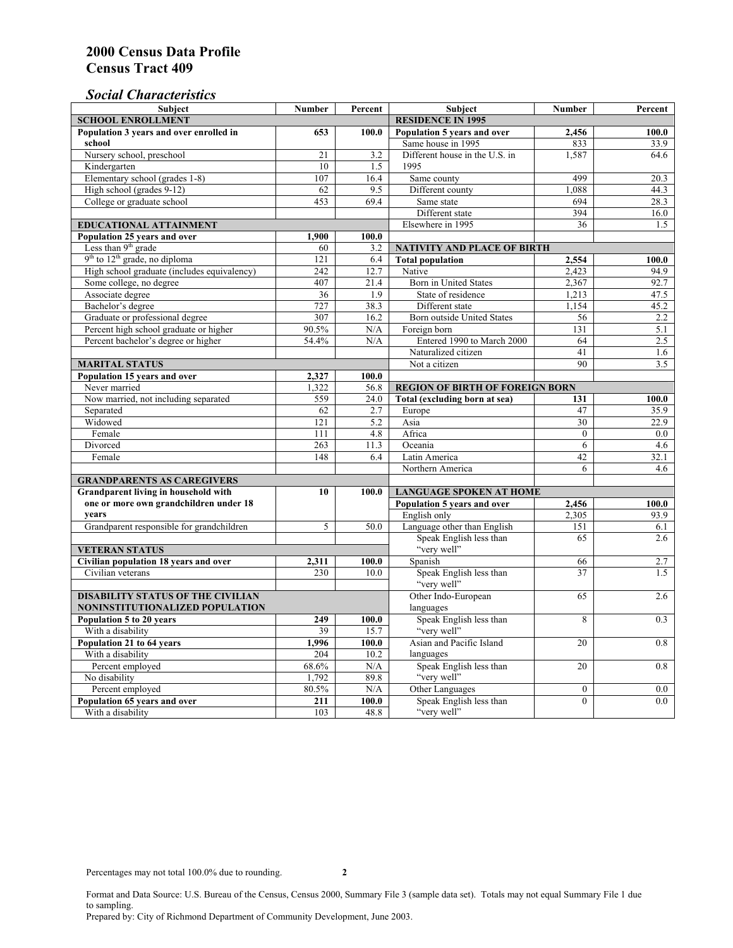### *Social Characteristics*

| <b>Subject</b>                              | <b>Number</b>            | Percent           | <b>Subject</b>                         | <b>Number</b>    | Percent |
|---------------------------------------------|--------------------------|-------------------|----------------------------------------|------------------|---------|
| <b>SCHOOL ENROLLMENT</b>                    | <b>RESIDENCE IN 1995</b> |                   |                                        |                  |         |
| Population 3 years and over enrolled in     | 653                      | 100.0             | Population 5 years and over            | 2,456            | 100.0   |
| school                                      |                          |                   | Same house in 1995                     | 833              | 33.9    |
| Nursery school, preschool                   | 21                       | 3.2               | Different house in the U.S. in         | 1,587            | 64.6    |
| Kindergarten                                | 10                       | 1.5               | 1995                                   |                  |         |
| Elementary school (grades 1-8)              | 107                      | 16.4              | Same county                            | 499              | 20.3    |
| High school (grades 9-12)                   | 62                       | 9.5               | Different county                       | 1.088            | 44.3    |
| College or graduate school                  | 453                      | 69.4              | Same state                             | 694              | 28.3    |
|                                             |                          |                   | Different state                        | 394              | 16.0    |
| <b>EDUCATIONAL ATTAINMENT</b>               |                          | Elsewhere in 1995 | 36                                     | 1.5              |         |
| Population 25 years and over                | 1,900                    | 100.0             |                                        |                  |         |
| Less than 9 <sup>th</sup> grade             | 60                       | 3.2               | NATIVITY AND PLACE OF BIRTH            |                  |         |
| $9th$ to $12th$ grade, no diploma           | 121                      | 6.4               | <b>Total population</b>                | 2,554            | 100.0   |
| High school graduate (includes equivalency) | 242                      | 12.7              | Native                                 | 2.423            | 94.9    |
| Some college, no degree                     | 407                      | 21.4              | Born in United States                  | 2,367            | 92.7    |
| Associate degree                            | 36                       | 1.9               | State of residence                     | 1,213            | 47.5    |
| Bachelor's degree                           | 727                      | 38.3              | Different state                        | 1,154            | 45.2    |
| Graduate or professional degree             | 307                      | 16.2              | Born outside United States             | 56               | 2.2     |
| Percent high school graduate or higher      | 90.5%                    | N/A               | Foreign born                           | 131              | 5.1     |
| Percent bachelor's degree or higher         | 54.4%                    | N/A               | Entered 1990 to March 2000             | 64               | 2.5     |
|                                             |                          |                   | Naturalized citizen                    | 41               | 1.6     |
| <b>MARITAL STATUS</b>                       |                          | Not a citizen     | 90                                     | 3.5              |         |
| Population 15 years and over                | 2,327                    | 100.0             |                                        |                  |         |
| Never married                               | 1,322                    | 56.8              | <b>REGION OF BIRTH OF FOREIGN BORN</b> |                  |         |
| Now married, not including separated        | 559                      | 24.0              | Total (excluding born at sea)          | 131              | 100.0   |
| Separated                                   | 62                       | 2.7               | Europe                                 | 47               | 35.9    |
| Widowed                                     | 121                      | 5.2               | Asia                                   | 30               | 22.9    |
| Female                                      | 111                      | 4.8               | Africa                                 | $\Omega$         | 0.0     |
| Divorced                                    | 263                      | 11.3              | Oceania                                | 6                | 4.6     |
| Female                                      | 148                      | 6.4               | Latin America                          | 42               | 32.1    |
|                                             |                          |                   | Northern America                       | 6                | 4.6     |
| <b>GRANDPARENTS AS CAREGIVERS</b>           |                          |                   |                                        |                  |         |
| Grandparent living in household with        | 10                       | 100.0             | <b>LANGUAGE SPOKEN AT HOME</b>         |                  |         |
| one or more own grandchildren under 18      |                          |                   | Population 5 years and over            | 2,456            | 100.0   |
| years                                       |                          |                   | English only                           | 2,305            | 93.9    |
| Grandparent responsible for grandchildren   | 5                        | 50.0              | Language other than English            | 151              | 6.1     |
|                                             |                          |                   | Speak English less than                | 65               | 2.6     |
| <b>VETERAN STATUS</b>                       |                          |                   | "very well"                            |                  |         |
| Civilian population 18 years and over       | 2,311                    | 100.0             | Spanish                                | 66               | 2.7     |
| Civilian veterans                           | 230                      | 10.0              | Speak English less than                | 37               | 1.5     |
|                                             |                          |                   | "very well"                            |                  |         |
| <b>DISABILITY STATUS OF THE CIVILIAN</b>    | Other Indo-European      | 65                | 2.6                                    |                  |         |
| NONINSTITUTIONALIZED POPULATION             | languages                |                   |                                        |                  |         |
| Population 5 to 20 years                    | 249                      | 100.0             | Speak English less than                | 8                | 0.3     |
| With a disability                           | 39                       | 15.7              | "very well"                            |                  |         |
| Population 21 to 64 years                   | 1,996                    | 100.0             | Asian and Pacific Island               | 20               | 0.8     |
| With a disability                           | 204                      | 10.2              | languages                              |                  |         |
| Percent employed                            | 68.6%                    | N/A               | Speak English less than                | 20               | 0.8     |
| No disability                               | 1,792                    | 89.8              | "very well"                            |                  |         |
| Percent employed                            | 80.5%                    | N/A               | Other Languages                        | $\boldsymbol{0}$ | $0.0\,$ |
| Population 65 years and over                | 211                      | 100.0             | Speak English less than<br>"very well" | $\mathbf{0}$     | 0.0     |
| With a disability                           | 103                      | 48.8              |                                        |                  |         |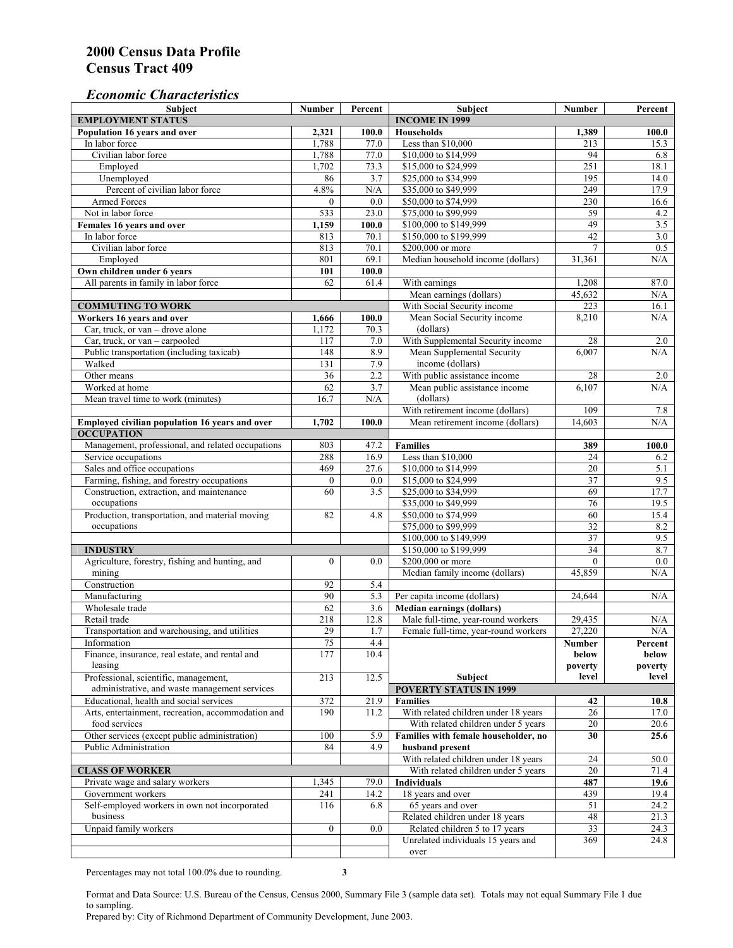#### *Economic Characteristics*

| Subject                                                                                  | <b>Number</b>    | Percent     | Subject                                                                | <b>Number</b>    | Percent          |
|------------------------------------------------------------------------------------------|------------------|-------------|------------------------------------------------------------------------|------------------|------------------|
| <b>EMPLOYMENT STATUS</b>                                                                 |                  |             | <b>INCOME IN 1999</b>                                                  |                  |                  |
| Population 16 years and over                                                             | 2,321            | 100.0       | <b>Households</b>                                                      | 1,389            | 100.0            |
| In labor force                                                                           | 1,788            | 77.0        | Less than \$10,000                                                     | 213              | 15.3             |
| Civilian labor force                                                                     | 1,788            | 77.0        | \$10,000 to \$14,999                                                   | 94               | 6.8              |
| Employed                                                                                 | 1,702            | 73.3        | \$15,000 to \$24,999                                                   | 251              | 18.1             |
| Unemployed                                                                               | 86               | 3.7         | \$25,000 to \$34,999                                                   | 195              | 14.0             |
| Percent of civilian labor force                                                          | 4.8%             | N/A         | \$35,000 to \$49,999                                                   | 249              | 17.9             |
| <b>Armed Forces</b>                                                                      | $\Omega$         | 0.0         | \$50,000 to \$74,999                                                   | 230              | 16.6             |
| Not in labor force                                                                       | 533              | 23.0        | \$75,000 to \$99,999                                                   | 59               | 4.2              |
| Females 16 years and over                                                                | 1,159            | 100.0       | \$100,000 to \$149,999                                                 | 49               | 3.5              |
| In labor force                                                                           | 813              | 70.1        | \$150,000 to \$199,999                                                 | 42               | 3.0              |
| Civilian labor force                                                                     | 813              | 70.1        | \$200,000 or more                                                      | 7                | 0.5              |
| Employed                                                                                 | 801              | 69.1        | Median household income (dollars)                                      | 31,361           | N/A              |
| Own children under 6 years                                                               | 101              | 100.0       |                                                                        |                  |                  |
| All parents in family in labor force                                                     | 62               | 61.4        | With earnings                                                          | 1,208            | 87.0             |
|                                                                                          |                  |             | Mean earnings (dollars)                                                | 45,632           | N/A              |
| <b>COMMUTING TO WORK</b>                                                                 |                  |             | With Social Security income                                            | 223              | 16.1             |
| Workers 16 years and over                                                                | 1,666            | 100.0       | Mean Social Security income                                            | 8,210            | N/A              |
| Car, truck, or van - drove alone                                                         | 1,172            | 70.3        | (dollars)                                                              |                  |                  |
| Car, truck, or van - carpooled                                                           | 117              | 7.0         | With Supplemental Security income                                      | 28               | 2.0              |
| Public transportation (including taxicab)                                                | 148              | 8.9         | Mean Supplemental Security                                             | 6,007            | N/A              |
| Walked                                                                                   | 131              | 7.9         | income (dollars)                                                       |                  |                  |
| Other means                                                                              | 36               | 2.2         | With public assistance income                                          | 28               | 2.0              |
| Worked at home                                                                           | 62               | 3.7         | Mean public assistance income                                          | 6,107            | N/A              |
| Mean travel time to work (minutes)                                                       | 16.7             | N/A         | (dollars)                                                              |                  |                  |
|                                                                                          |                  |             | With retirement income (dollars)                                       | 109              | 7.8              |
| Employed civilian population 16 years and over                                           | 1,702            | 100.0       | Mean retirement income (dollars)                                       | 14,603           | N/A              |
| <b>OCCUPATION</b>                                                                        |                  |             |                                                                        |                  |                  |
| Management, professional, and related occupations                                        | 803              | 47.2        | <b>Families</b>                                                        | 389              | 100.0            |
| Service occupations                                                                      | 288              | 16.9        | Less than \$10,000                                                     | 24               | 6.2              |
| Sales and office occupations                                                             | 469              | 27.6        | \$10,000 to \$14,999                                                   | $\overline{20}$  | 5.1              |
| Farming, fishing, and forestry occupations                                               | $\mathbf{0}$     | 0.0         | \$15,000 to \$24,999                                                   | 37               | 9.5              |
| Construction, extraction, and maintenance                                                | 60               | 3.5         | \$25,000 to \$34,999                                                   | 69               | 17.7             |
| occupations                                                                              |                  |             | \$35,000 to \$49,999                                                   | 76               | 19.5             |
| Production, transportation, and material moving                                          | 82               | 4.8         | \$50,000 to \$74,999                                                   | 60               | 15.4             |
| occupations                                                                              |                  |             | \$75,000 to \$99,999                                                   | 32               | 8.2              |
|                                                                                          |                  |             | \$100,000 to \$149,999                                                 | $\overline{37}$  | 9.5              |
| <b>INDUSTRY</b>                                                                          |                  |             | \$150,000 to \$199,999                                                 | 34               | 8.7              |
| Agriculture, forestry, fishing and hunting, and                                          | $\boldsymbol{0}$ | 0.0         | \$200,000 or more                                                      | $\mathbf{0}$     | 0.0              |
| mining                                                                                   |                  |             | Median family income (dollars)                                         | 45.859           | N/A              |
| Construction                                                                             | 92               | 5.4         |                                                                        |                  |                  |
| Manufacturing                                                                            | 90               | 5.3         | Per capita income (dollars)                                            | 24,644           | N/A              |
| Wholesale trade                                                                          | 62               |             |                                                                        |                  |                  |
| Retail trade                                                                             | 218              | 3.6<br>12.8 | <b>Median earnings (dollars)</b><br>Male full-time, year-round workers |                  |                  |
| Transportation and warehousing, and utilities                                            | 29               | 1.7         | Female full-time, year-round workers                                   | 29,435<br>27,220 | N/A<br>$\rm N/A$ |
|                                                                                          |                  |             |                                                                        |                  |                  |
| Information                                                                              | 75<br>177        | 4.4         |                                                                        | Number           | Percent          |
| Finance, insurance, real estate, and rental and                                          |                  | 10.4        |                                                                        | below            | below            |
| leasing                                                                                  | 213              | 12.5        | Subject                                                                | poverty<br>level | poverty<br>level |
| Professional, scientific, management,                                                    |                  |             |                                                                        |                  |                  |
| administrative, and waste management services<br>Educational, health and social services |                  |             | <b>POVERTY STATUS IN 1999</b>                                          |                  |                  |
|                                                                                          | 372              | 21.9        | <b>Families</b>                                                        | 42               | 10.8             |
| Arts, entertainment, recreation, accommodation and                                       | 190              | 11.2        | With related children under 18 years                                   | 26               | 17.0             |
| food services                                                                            |                  |             | With related children under 5 years                                    | 20               | 20.6             |
| Other services (except public administration)                                            | 100              | 5.9         | Families with female householder, no                                   | 30               | 25.6             |
| Public Administration                                                                    | 84               | 4.9         | husband present                                                        |                  |                  |
|                                                                                          |                  |             | With related children under 18 years                                   | 24               | 50.0             |
| <b>CLASS OF WORKER</b>                                                                   |                  |             | With related children under 5 years                                    | 20               | 71.4             |
| Private wage and salary workers                                                          | 1,345            | 79.0        | <b>Individuals</b>                                                     | 487              | 19.6             |
| Government workers                                                                       | 241              | 14.2        | 18 years and over                                                      | 439              | 19.4             |
| Self-employed workers in own not incorporated                                            | 116              | 6.8         | 65 years and over                                                      | 51               | 24.2             |
| business                                                                                 |                  |             | Related children under 18 years                                        | 48               | 21.3             |
| Unpaid family workers                                                                    | $\overline{0}$   | 0.0         | Related children 5 to 17 years                                         | 33               | 24.3             |
|                                                                                          |                  |             | Unrelated individuals 15 years and                                     | 369              | 24.8             |
|                                                                                          |                  |             | over                                                                   |                  |                  |

Percentages may not total 100.0% due to rounding. **3** 

Format and Data Source: U.S. Bureau of the Census, Census 2000, Summary File 3 (sample data set). Totals may not equal Summary File 1 due to sampling.

Prepared by: City of Richmond Department of Community Development, June 2003.